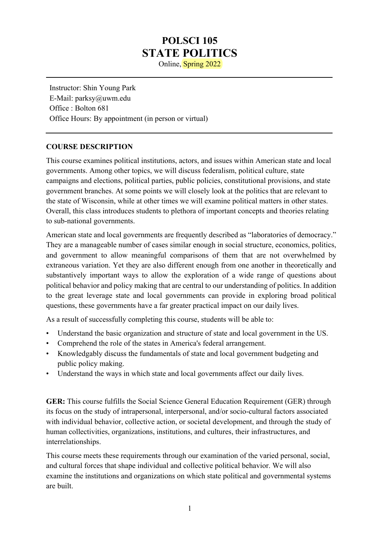# **POLSCI 105 STATE POLITICS**

Online, Spring 2022

Instructor: Shin Young Park E-Mail: parksy@uwm.edu Office : Bolton 681 Office Hours: By appointment (in person or virtual)

#### **COURSE DESCRIPTION**

This course examines political institutions, actors, and issues within American state and local governments. Among other topics, we will discuss federalism, political culture, state campaigns and elections, political parties, public policies, constitutional provisions, and state government branches. At some points we will closely look at the politics that are relevant to the state of Wisconsin, while at other times we will examine political matters in other states. Overall, this class introduces students to plethora of important concepts and theories relating to sub-national governments.

American state and local governments are frequently described as "laboratories of democracy." They are a manageable number of cases similar enough in social structure, economics, politics, and government to allow meaningful comparisons of them that are not overwhelmed by extraneous variation. Yet they are also different enough from one another in theoretically and substantively important ways to allow the exploration of a wide range of questions about political behavior and policy making that are central to our understanding of politics. In addition to the great leverage state and local governments can provide in exploring broad political questions, these governments have a far greater practical impact on our daily lives.

As a result of successfully completing this course, students will be able to:

- Understand the basic organization and structure of state and local government in the US.
- Comprehend the role of the states in America's federal arrangement.
- Knowledgably discuss the fundamentals of state and local government budgeting and public policy making.
- Understand the ways in which state and local governments affect our daily lives.

**GER:** This course fulfills the Social Science General Education Requirement (GER) through its focus on the study of intrapersonal, interpersonal, and/or socio-cultural factors associated with individual behavior, collective action, or societal development, and through the study of human collectivities, organizations, institutions, and cultures, their infrastructures, and interrelationships.

This course meets these requirements through our examination of the varied personal, social, and cultural forces that shape individual and collective political behavior. We will also examine the institutions and organizations on which state political and governmental systems are built.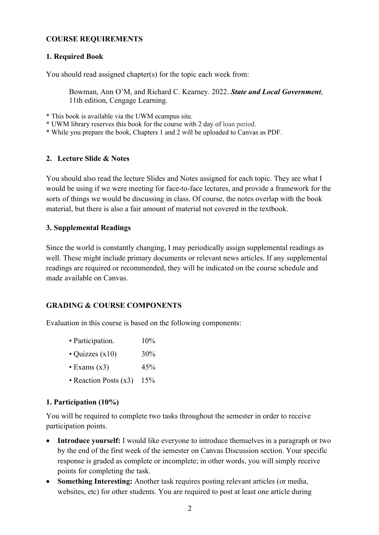#### **COURSE REQUIREMENTS**

#### **1. Required Book**

You should read assigned chapter(s) for the topic each week from:

Bowman, Ann O'M, and Richard C. Kearney. 2022. *State and Local Government*, 11th edition, Cengage Learning.

\* This book is available via the UWM ecampus site.

- \* UWM library reserves this book for the course with 2 day of loan period.
- \* While you prepare the book, Chapters 1 and 2 will be uploaded to Canvas as PDF.

#### **2. Lecture Slide & Notes**

You should also read the lecture Slides and Notes assigned for each topic. They are what I would be using if we were meeting for face-to-face lectures, and provide a framework for the sorts of things we would be discussing in class. Of course, the notes overlap with the book material, but there is also a fair amount of material not covered in the textbook.

#### **3. Supplemental Readings**

Since the world is constantly changing, I may periodically assign supplemental readings as well. These might include primary documents or relevant news articles. If any supplemental readings are required or recommended, they will be indicated on the course schedule and made available on Canvas.

#### **GRADING & COURSE COMPONENTS**

Evaluation in this course is based on the following components:

|  | • Participation. | 10% |
|--|------------------|-----|
|--|------------------|-----|

- Quizzes  $(x10)$  30%
- Exams  $(x3)$  45%
- Reaction Posts (x3) 15%

#### **1. Participation (10%)**

You will be required to complete two tasks throughout the semester in order to receive participation points.

- **Introduce yourself:** I would like everyone to introduce themselves in a paragraph or two by the end of the first week of the semester on Canvas Discussion section. Your specific response is graded as complete or incomplete; in other words, you will simply receive points for completing the task.
- **Something Interesting:** Another task requires posting relevant articles (or media, websites, etc) for other students. You are required to post at least one article during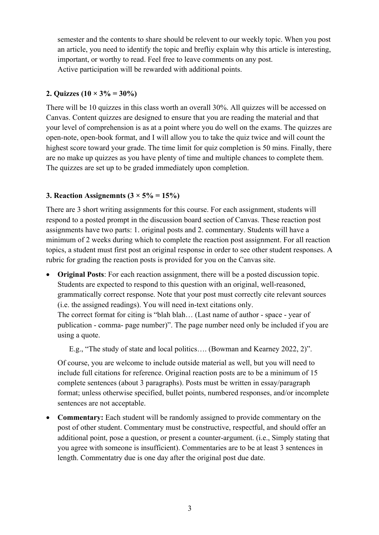semester and the contents to share should be relevent to our weekly topic. When you post an article, you need to identify the topic and brefliy explain why this article is interesting, important, or worthy to read. Feel free to leave comments on any post. Active participation will be rewarded with additional points.

#### **2. Quizzes (10 × 3% = 30%)**

There will be 10 quizzes in this class worth an overall 30%. All quizzes will be accessed on Canvas. Content quizzes are designed to ensure that you are reading the material and that your level of comprehension is as at a point where you do well on the exams. The quizzes are open-note, open-book format, and I will allow you to take the quiz twice and will count the highest score toward your grade. The time limit for quiz completion is 50 mins. Finally, there are no make up quizzes as you have plenty of time and multiple chances to complete them. The quizzes are set up to be graded immediately upon completion.

#### **3. Reaction Assignemnts**  $(3 \times 5\% = 15\%)$

There are 3 short writing assignments for this course. For each assignment, students will respond to a posted prompt in the discussion board section of Canvas. These reaction post assignments have two parts: 1. original posts and 2. commentary. Students will have a minimum of 2 weeks during which to complete the reaction post assignment. For all reaction topics, a student must first post an original response in order to see other student responses. A rubric for grading the reaction posts is provided for you on the Canvas site.

• **Original Posts**: For each reaction assignment, there will be a posted discussion topic. Students are expected to respond to this question with an original, well-reasoned, grammatically correct response. Note that your post must correctly cite relevant sources (i.e. the assigned readings). You will need in-text citations only. The correct format for citing is "blah blah… (Last name of author - space - year of publication - comma- page number)". The page number need only be included if you are using a quote.

E.g., "The study of state and local politics…. (Bowman and Kearney 2022, 2)".

Of course, you are welcome to include outside material as well, but you will need to include full citations for reference. Original reaction posts are to be a minimum of 15 complete sentences (about 3 paragraphs). Posts must be written in essay/paragraph format; unless otherwise specified, bullet points, numbered responses, and/or incomplete sentences are not acceptable.

• **Commentary:** Each student will be randomly assigned to provide commentary on the post of other student. Commentary must be constructive, respectful, and should offer an additional point, pose a question, or present a counter-argument. (i.e., Simply stating that you agree with someone is insufficient). Commentaries are to be at least 3 sentences in length. Commentatry due is one day after the original post due date.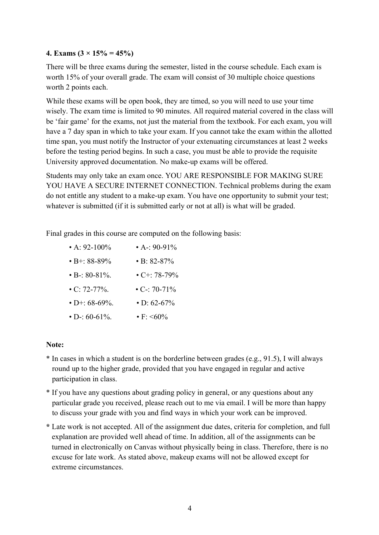#### **4. Exams (3 × 15% = 45%)**

There will be three exams during the semester, listed in the course schedule. Each exam is worth 15% of your overall grade. The exam will consist of 30 multiple choice questions worth 2 points each.

While these exams will be open book, they are timed, so you will need to use your time wisely. The exam time is limited to 90 minutes. All required material covered in the class will be 'fair game' for the exams, not just the material from the textbook. For each exam, you will have a 7 day span in which to take your exam. If you cannot take the exam within the allotted time span, you must notify the Instructor of your extenuating circumstances at least 2 weeks before the testing period begins. In such a case, you must be able to provide the requisite University approved documentation. No make-up exams will be offered.

Students may only take an exam once. YOU ARE RESPONSIBLE FOR MAKING SURE YOU HAVE A SECURE INTERNET CONNECTION. Technical problems during the exam do not entitle any student to a make-up exam. You have one opportunity to submit your test; whatever is submitted (if it is submitted early or not at all) is what will be graded.

Final grades in this course are computed on the following basis:

| • A: $92-100\%$     | • A-: 90-91%       |
|---------------------|--------------------|
| $\cdot$ B+: 88-89%  | $\cdot$ B: 82-87%  |
| $\cdot$ B-: 80-81%. | $\cdot$ C+: 78-79% |
| $\cdot$ C: 72-77%.  | $\cdot$ C-: 70-71% |
| $\cdot$ D+: 68-69%. | $\cdot$ D: 62-67%  |
| $\cdot$ D-: 60-61%. | • F: $\leq 60\%$   |

#### **Note:**

- \* In cases in which a student is on the borderline between grades (e.g., 91.5), I will always round up to the higher grade, provided that you have engaged in regular and active participation in class.
- \* If you have any questions about grading policy in general, or any questions about any particular grade you received, please reach out to me via email. I will be more than happy to discuss your grade with you and find ways in which your work can be improved.
- **\*** Late work is not accepted. All of the assignment due dates, criteria for completion, and full explanation are provided well ahead of time. In addition, all of the assignments can be turned in electronically on Canvas without physically being in class. Therefore, there is no excuse for late work. As stated above, makeup exams will not be allowed except for extreme circumstances.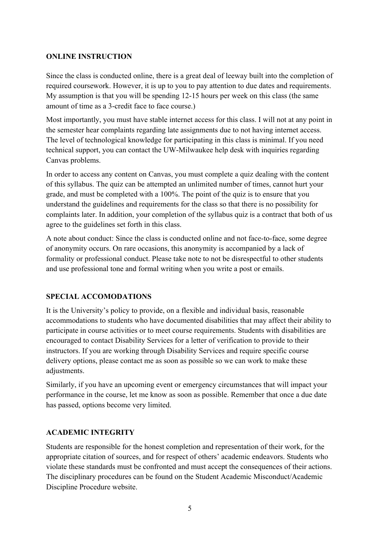#### **ONLINE INSTRUCTION**

Since the class is conducted online, there is a great deal of leeway built into the completion of required coursework. However, it is up to you to pay attention to due dates and requirements. My assumption is that you will be spending 12-15 hours per week on this class (the same amount of time as a 3-credit face to face course.)

Most importantly, you must have stable internet access for this class. I will not at any point in the semester hear complaints regarding late assignments due to not having internet access. The level of technological knowledge for participating in this class is minimal. If you need technical support, you can contact the UW-Milwaukee help desk with inquiries regarding Canvas problems.

In order to access any content on Canvas, you must complete a quiz dealing with the content of this syllabus. The quiz can be attempted an unlimited number of times, cannot hurt your grade, and must be completed with a 100%. The point of the quiz is to ensure that you understand the guidelines and requirements for the class so that there is no possibility for complaints later. In addition, your completion of the syllabus quiz is a contract that both of us agree to the guidelines set forth in this class.

A note about conduct: Since the class is conducted online and not face-to-face, some degree of anonymity occurs. On rare occasions, this anonymity is accompanied by a lack of formality or professional conduct. Please take note to not be disrespectful to other students and use professional tone and formal writing when you write a post or emails.

### **SPECIAL ACCOMODATIONS**

It is the University's policy to provide, on a flexible and individual basis, reasonable accommodations to students who have documented disabilities that may affect their ability to participate in course activities or to meet course requirements. Students with disabilities are encouraged to contact Disability Services for a letter of verification to provide to their instructors. If you are working through Disability Services and require specific course delivery options, please contact me as soon as possible so we can work to make these adjustments.

Similarly, if you have an upcoming event or emergency circumstances that will impact your performance in the course, let me know as soon as possible. Remember that once a due date has passed, options become very limited.

#### **ACADEMIC INTEGRITY**

Students are responsible for the honest completion and representation of their work, for the appropriate citation of sources, and for respect of others' academic endeavors. Students who violate these standards must be confronted and must accept the consequences of their actions. The disciplinary procedures can be found on the Student Academic Misconduct/Academic Discipline Procedure website.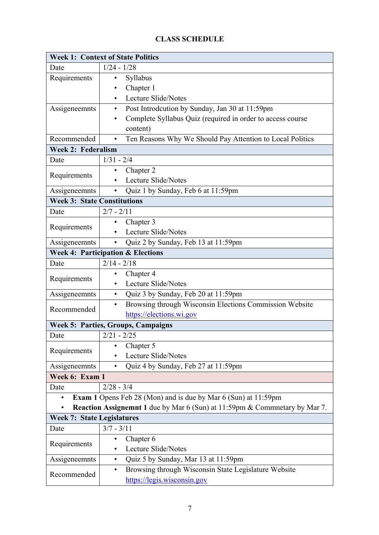## **CLASS SCHEDULE**

| <b>Week 1: Context of State Politics</b> |                                                                            |  |  |  |  |
|------------------------------------------|----------------------------------------------------------------------------|--|--|--|--|
| Date                                     | $1/24 - 1/28$                                                              |  |  |  |  |
| Requirements                             | Syllabus<br>٠                                                              |  |  |  |  |
|                                          | Chapter 1                                                                  |  |  |  |  |
|                                          | Lecture Slide/Notes<br>٠                                                   |  |  |  |  |
| Assigeneemnts                            | Post Introdcution by Sunday, Jan 30 at 11:59pm<br>$\bullet$                |  |  |  |  |
|                                          | Complete Syllabus Quiz (required in order to access course                 |  |  |  |  |
|                                          | content)                                                                   |  |  |  |  |
| Recommended                              | Ten Reasons Why We Should Pay Attention to Local Politics<br>$\bullet$     |  |  |  |  |
| <b>Week 2: Federalism</b>                |                                                                            |  |  |  |  |
| Date                                     | $1/31 - 2/4$                                                               |  |  |  |  |
| Requirements                             | Chapter 2                                                                  |  |  |  |  |
|                                          | Lecture Slide/Notes<br>$\bullet$                                           |  |  |  |  |
| Assigeneemnts                            | Quiz 1 by Sunday, Feb 6 at 11:59pm<br>$\bullet$                            |  |  |  |  |
| <b>Week 3: State Constitutions</b>       |                                                                            |  |  |  |  |
| Date                                     | $2/7 - 2/11$                                                               |  |  |  |  |
| Requirements                             | Chapter 3<br>٠                                                             |  |  |  |  |
|                                          | Lecture Slide/Notes<br>$\bullet$                                           |  |  |  |  |
| Assigeneemnts                            | Quiz 2 by Sunday, Feb 13 at 11:59pm                                        |  |  |  |  |
|                                          | <b>Week 4: Participation &amp; Elections</b>                               |  |  |  |  |
| Date                                     | $2/14 - 2/18$                                                              |  |  |  |  |
|                                          | Chapter 4                                                                  |  |  |  |  |
| Requirements                             | Lecture Slide/Notes                                                        |  |  |  |  |
| Assigeneemnts                            | Quiz 3 by Sunday, Feb 20 at 11:59pm<br>$\bullet$                           |  |  |  |  |
| Recommended                              | Browsing through Wisconsin Elections Commission Website<br>$\bullet$       |  |  |  |  |
|                                          | https://elections.wi.gov                                                   |  |  |  |  |
|                                          | <b>Week 5: Parties, Groups, Campaigns</b>                                  |  |  |  |  |
| Date                                     | $2/21 - 2/25$                                                              |  |  |  |  |
|                                          | Chapter 5                                                                  |  |  |  |  |
| Requirements                             | Lecture Slide/Notes                                                        |  |  |  |  |
| Assigeneemnts                            | Quiz 4 by Sunday, Feb 27 at 11:59pm<br>$\bullet$                           |  |  |  |  |
| Week 6: Exam 1                           |                                                                            |  |  |  |  |
| Date                                     | $2/28 - 3/4$                                                               |  |  |  |  |
| $\bullet$                                | <b>Exam 1</b> Opens Feb 28 (Mon) and is due by Mar 6 (Sun) at 11:59pm      |  |  |  |  |
| $\bullet$                                | Reaction Assignemnt 1 due by Mar 6 (Sun) at 11:59pm & Commnetary by Mar 7. |  |  |  |  |
| <b>Week 7: State Legislatures</b>        |                                                                            |  |  |  |  |
| Date                                     | $3/7 - 3/11$                                                               |  |  |  |  |
|                                          | Chapter 6<br>٠                                                             |  |  |  |  |
| Requirements                             | Lecture Slide/Notes<br>٠                                                   |  |  |  |  |
| Assigeneemnts                            | Quiz 5 by Sunday, Mar 13 at 11:59pm<br>٠                                   |  |  |  |  |
|                                          | Browsing through Wisconsin State Legislature Website<br>$\bullet$          |  |  |  |  |
| Recommended                              | https://legis.wisconsin.gov                                                |  |  |  |  |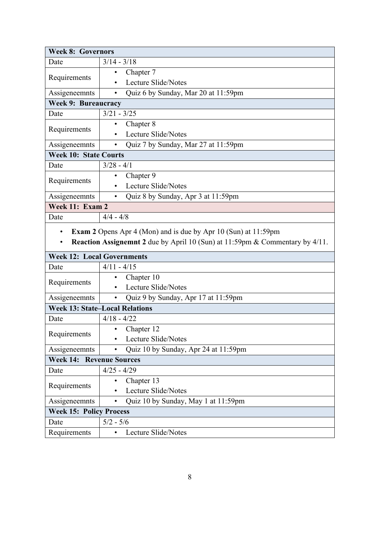| <b>Week 8: Governors</b>          |                                                                                                                                                       |  |  |  |  |  |  |  |
|-----------------------------------|-------------------------------------------------------------------------------------------------------------------------------------------------------|--|--|--|--|--|--|--|
| Date                              | $3/14 - 3/18$                                                                                                                                         |  |  |  |  |  |  |  |
|                                   | Chapter 7                                                                                                                                             |  |  |  |  |  |  |  |
| Requirements                      | Lecture Slide/Notes<br>$\bullet$                                                                                                                      |  |  |  |  |  |  |  |
| Assigeneemnts                     | Quiz 6 by Sunday, Mar 20 at 11:59pm<br>$\bullet$                                                                                                      |  |  |  |  |  |  |  |
|                                   | <b>Week 9: Bureaucracy</b>                                                                                                                            |  |  |  |  |  |  |  |
| Date                              | $3/21 - 3/25$                                                                                                                                         |  |  |  |  |  |  |  |
|                                   | Chapter 8<br>$\bullet$                                                                                                                                |  |  |  |  |  |  |  |
| Requirements                      | Lecture Slide/Notes<br>٠                                                                                                                              |  |  |  |  |  |  |  |
| Assigeneemnts                     | Quiz 7 by Sunday, Mar 27 at 11:59pm<br>$\bullet$                                                                                                      |  |  |  |  |  |  |  |
| <b>Week 10: State Courts</b>      |                                                                                                                                                       |  |  |  |  |  |  |  |
| Date                              | $3/28 - 4/1$                                                                                                                                          |  |  |  |  |  |  |  |
|                                   | Chapter 9                                                                                                                                             |  |  |  |  |  |  |  |
| Requirements                      | Lecture Slide/Notes                                                                                                                                   |  |  |  |  |  |  |  |
| Assigeneemnts                     | Quiz 8 by Sunday, Apr 3 at 11:59pm<br>$\bullet$                                                                                                       |  |  |  |  |  |  |  |
| Week 11: Exam 2                   |                                                                                                                                                       |  |  |  |  |  |  |  |
| Date                              | $4/4 - 4/8$                                                                                                                                           |  |  |  |  |  |  |  |
| $\bullet$<br>$\bullet$            | <b>Exam 2</b> Opens Apr 4 (Mon) and is due by Apr 10 (Sun) at 11:59pm<br>Reaction Assignemnt 2 due by April 10 (Sun) at 11:59pm & Commentary by 4/11. |  |  |  |  |  |  |  |
| <b>Week 12: Local Governments</b> |                                                                                                                                                       |  |  |  |  |  |  |  |
| $4/11 - 4/15$<br>Date             |                                                                                                                                                       |  |  |  |  |  |  |  |
|                                   | Chapter 10<br>٠                                                                                                                                       |  |  |  |  |  |  |  |
| Requirements                      | Lecture Slide/Notes<br>$\bullet$                                                                                                                      |  |  |  |  |  |  |  |
| Assigeneemnts                     | Quiz 9 by Sunday, Apr 17 at 11:59pm<br>$\bullet$                                                                                                      |  |  |  |  |  |  |  |
|                                   | <b>Week 13: State-Local Relations</b>                                                                                                                 |  |  |  |  |  |  |  |
| Date                              | $4/18 - 4/22$                                                                                                                                         |  |  |  |  |  |  |  |
| Requirements                      | Chapter 12<br>$\bullet$                                                                                                                               |  |  |  |  |  |  |  |
|                                   | Lecture Slide/Notes                                                                                                                                   |  |  |  |  |  |  |  |
| Assigeneemnts                     | Quiz 10 by Sunday, Apr 24 at 11:59pm<br>$\bullet$                                                                                                     |  |  |  |  |  |  |  |
|                                   | <b>Week 14: Revenue Sources</b>                                                                                                                       |  |  |  |  |  |  |  |
| Date                              | $4/25 - 4/29$                                                                                                                                         |  |  |  |  |  |  |  |
| Requirements                      | Chapter 13                                                                                                                                            |  |  |  |  |  |  |  |
|                                   | Lecture Slide/Notes                                                                                                                                   |  |  |  |  |  |  |  |
| Assigeneemnts                     | Quiz 10 by Sunday, May 1 at 11:59pm<br>$\bullet$                                                                                                      |  |  |  |  |  |  |  |
| <b>Week 15: Policy Process</b>    |                                                                                                                                                       |  |  |  |  |  |  |  |
| Date                              | $5/2 - 5/6$                                                                                                                                           |  |  |  |  |  |  |  |
| Requirements                      | Lecture Slide/Notes<br>$\bullet$                                                                                                                      |  |  |  |  |  |  |  |